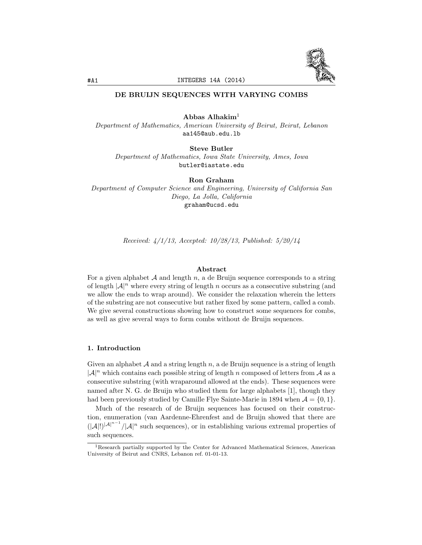

# DE BRUIJN SEQUENCES WITH VARYING COMBS

Abbas Alhakim<sup>1</sup>

*Department of Mathematics, American University of Beirut, Beirut, Lebanon* aa145@aub.edu.lb

Steve Butler *Department of Mathematics, Iowa State University, Ames, Iowa* butler@iastate.edu

Ron Graham

*Department of Computer Science and Engineering, University of California San Diego, La Jolla, California* graham@ucsd.edu

*Received: 4/1/13, Accepted: 10/28/13, Published: 5/20/14*

## Abstract

For a given alphabet  $A$  and length  $n$ , a de Bruijn sequence corresponds to a string of length  $|\mathcal{A}|^n$  where every string of length *n* occurs as a consecutive substring (and we allow the ends to wrap around). We consider the relaxation wherein the letters of the substring are not consecutive but rather fixed by some pattern, called a comb. We give several constructions showing how to construct some sequences for combs, as well as give several ways to form combs without de Bruijn sequences.

### 1. Introduction

Given an alphabet  $A$  and a string length  $n$ , a de Bruijn sequence is a string of length  $|\mathcal{A}|^n$  which contains each possible string of length *n* composed of letters from  $\mathcal{A}$  as a consecutive substring (with wraparound allowed at the ends). These sequences were named after N. G. de Bruijn who studied them for large alphabets [1], though they had been previously studied by Camille Flye Sainte-Marie in 1894 when  $\mathcal{A} = \{0, 1\}$ .

Much of the research of de Bruijn sequences has focused on their construction, enumeration (van Aardenne-Ehrenfest and de Bruijn showed that there are  $(|A|!)^{|A|^{n-1}}/|A|^n$  such sequences), or in establishing various extremal properties of such sequences.

<sup>&</sup>lt;sup>1</sup>Research partially supported by the Center for Advanced Mathematical Sciences, American University of Beirut and CNRS, Lebanon ref. 01-01-13.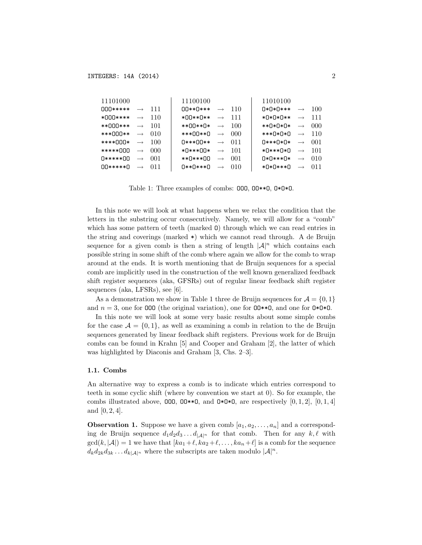| 11101000                  |                   |      | 11100100                   |                   |      | 11010100 |                   |     |
|---------------------------|-------------------|------|----------------------------|-------------------|------|----------|-------------------|-----|
| $\bigcap \bigcap ******$  | $\rightarrow$     | 111  | $\bigcap$ ** $\bigcap$ *** | $\longrightarrow$ | 110  | 0*0*0*** | $\rightarrow$     | 100 |
| ∗∩∩∩∗∗∗∗                  | $\longrightarrow$ | 110  | ∗∩∩∗∗∩∗∗                   | $\longrightarrow$ | 111  | ∗∩∗∩∗∩∗∗ | $\longrightarrow$ | 111 |
| **∩∩∩***                  | $\longrightarrow$ | -101 | ∗∗∩∩∗∗∩∗                   | $\longrightarrow$ | -100 | **0*0*0* | $\rightarrow$     | 000 |
| ***∩∩∩**                  | $\rightarrow$     | 010  | ***00**0                   | $\longrightarrow$ | 000  | ***0*0*0 | $\rightarrow$     | 110 |
| ****000*                  | $\rightarrow$     | 100  | N***00**                   | $\longrightarrow$ | 011  | 0***0*0* | $\longrightarrow$ | 001 |
| *****000                  | $\rightarrow$     | 000  | ∗∏∗∗∗⊪                     | $\longrightarrow$ | -101 | *0***0*0 | $\longrightarrow$ | 101 |
| 0*****00                  | $\longrightarrow$ | 001  | **0***00                   | $\rightarrow$     | 001  | ∩∗∩∗∗∗∩∗ | $\rightarrow$     | 010 |
| $\bigcap$ ***** $\bigcap$ | $\longrightarrow$ | 011  | ∩**∩***∩                   | $\longrightarrow$ | 010  | *0*0***0 | $\longrightarrow$ | 011 |

Table 1: Three examples of combs: 000, 00\*\*0, 0\*0\*0.

In this note we will look at what happens when we relax the condition that the letters in the substring occur consecutively. Namely, we will allow for a "comb" which has some pattern of teeth (marked 0) through which we can read entries in the string and coverings (marked  $\ast$ ) which we cannot read through. A de Bruijn sequence for a given comb is then a string of length  $|\mathcal{A}|^n$  which contains each possible string in some shift of the comb where again we allow for the comb to wrap around at the ends. It is worth mentioning that de Bruijn sequences for a special comb are implicitly used in the construction of the well known generalized feedback shift register sequences (aka, GFSRs) out of regular linear feedback shift register sequences (aka, LFSRs), see  $[6]$ .

As a demonstration we show in Table 1 three de Bruijn sequences for  $\mathcal{A} = \{0, 1\}$ and  $n = 3$ , one for 000 (the original variation), one for 00\*\*0, and one for 0\*0\*0.

In this note we will look at some very basic results about some simple combs for the case  $A = \{0, 1\}$ , as well as examining a comb in relation to the de Bruijn sequences generated by linear feedback shift registers. Previous work for de Bruijn combs can be found in Krahn [5] and Cooper and Graham [2], the latter of which was highlighted by Diaconis and Graham [3, Chs. 2-3].

#### 1.1. Combs

An alternative way to express a comb is to indicate which entries correspond to teeth in some cyclic shift (where by convention we start at 0). So for example, the combs illustrated above, 000, 00\*\*0, and 0\*0\*0, are respectively [0, 1, 2], [0, 1, 4] and  $[0, 2, 4]$ .

**Observation 1.** Suppose we have a given comb  $[a_1, a_2, \ldots, a_n]$  and a corresponding de Bruijn sequence  $d_1 d_2 d_3 \dots d_{|\mathcal{A}|^n}$  for that comb. Then for any  $k, \ell$  with  $gcd(k, |\mathcal{A}|) = 1$  we have that  $[ka_1 + \ell, ka_2 + \ell, ..., ka_n + \ell]$  is a comb for the sequence  $d_k d_{2k} d_{3k} \ldots d_{k} |A|^n$  where the subscripts are taken modulo  $|A|^n$ .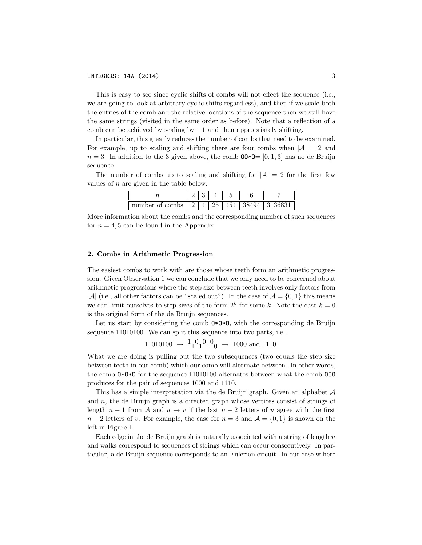#### INTEGERS: 14A (2014) 3

This is easy to see since cyclic shifts of combs will not effect the sequence (i.e., we are going to look at arbitrary cyclic shifts regardless), and then if we scale both the entries of the comb and the relative locations of the sequence then we still have the same strings (visited in the same order as before). Note that a reflection of a comb can be achieved by scaling by  $-1$  and then appropriately shifting.

In particular, this greatly reduces the number of combs that need to be examined. For example, up to scaling and shifting there are four combs when  $|\mathcal{A}| = 2$  and  $n = 3$ . In addition to the 3 given above, the comb  $00*0=[0, 1, 3]$  has no de Bruijn sequence.

The number of combs up to scaling and shifting for  $|\mathcal{A}| = 2$  for the first few values of *n* are given in the table below.

| number of combs    2   4   25   454   38494   3136831 |  |  |  |
|-------------------------------------------------------|--|--|--|

More information about the combs and the corresponding number of such sequences for  $n = 4, 5$  can be found in the Appendix.

#### 2. Combs in Arithmetic Progression

The easiest combs to work with are those whose teeth form an arithmetic progression. Given Observation 1 we can conclude that we only need to be concerned about arithmetic progressions where the step size between teeth involves only factors from  $|A|$  (i.e., all other factors can be "scaled out"). In the case of  $A = \{0, 1\}$  this means we can limit ourselves to step sizes of the form  $2^k$  for some k. Note the case  $k = 0$ is the original form of the de Bruijn sequences.

Let us start by considering the comb  $\mathbf{0}*\mathbf{0}*\mathbf{0}$ , with the corresponding de Bruijn sequence 11010100. We can split this sequence into two parts, i.e.,

 $11010100 \rightarrow \frac{1}{1}010100 \rightarrow 1000$  and 1110.

What we are doing is pulling out the two subsequences (two equals the step size between teeth in our comb) which our comb will alternate between. In other words, the comb O\*O\*O for the sequence 11010100 alternates between what the comb OOO produces for the pair of sequences 1000 and 1110.

This has a simple interpretation via the de Bruijn graph. Given an alphabet *A* and *n*, the de Bruijn graph is a directed graph whose vertices consist of strings of length  $n-1$  from A and  $u \to v$  if the last  $n-2$  letters of u agree with the first  $n-2$  letters of *v*. For example, the case for  $n=3$  and  $\mathcal{A} = \{0,1\}$  is shown on the left in Figure 1.

Each edge in the de Bruijn graph is naturally associated with a string of length *n* and walks correspond to sequences of strings which can occur consecutively. In particular, a de Bruijn sequence corresponds to an Eulerian circuit. In our case w here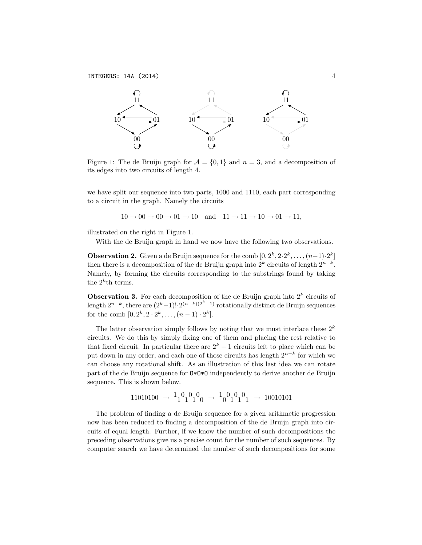

Figure 1: The de Bruijn graph for  $\mathcal{A} = \{0, 1\}$  and  $n = 3$ , and a decomposition of its edges into two circuits of length 4.

we have split our sequence into two parts, 1000 and 1110, each part corresponding to a circuit in the graph. Namely the circuits

$$
10 \to 00 \to 00 \to 01 \to 10 \quad \text{and} \quad 11 \to 11 \to 10 \to 01 \to 11,
$$

illustrated on the right in Figure 1.

With the de Bruijn graph in hand we now have the following two observations.

**Observation 2.** Given a de Bruijn sequence for the comb  $[0, 2^k, 2 \cdot 2^k, \ldots, (n-1) \cdot 2^k]$ then there is a decomposition of the de Bruijn graph into  $2^k$  circuits of length  $2^{n-k}$ . Namely, by forming the circuits corresponding to the substrings found by taking the  $2^k$ <sup>th</sup> terms.

**Observation 3.** For each decomposition of the de Bruijn graph into  $2^k$  circuits of length  $2^{n-k}$ , there are  $(2^k-1)! \cdot 2^{(n-k)(2^k-1)}$  rotationally distinct de Bruijn sequences for the comb  $[0, 2^k, 2 \cdot 2^k, \ldots, (n-1) \cdot 2^k]$ .

The latter observation simply follows by noting that we must interlace these  $2^k$ circuits. We do this by simply fixing one of them and placing the rest relative to that fixed circuit. In particular there are  $2^k - 1$  circuits left to place which can be put down in any order, and each one of those circuits has length  $2^{n-k}$  for which we can choose any rotational shift. As an illustration of this last idea we can rotate part of the de Bruijn sequence for O\*O\*O independently to derive another de Bruijn sequence. This is shown below.

$$
11010100 \rightarrow \frac{1}{1}01010 \rightarrow \frac{1}{0}010101 \rightarrow 10010101
$$

The problem of finding a de Bruijn sequence for a given arithmetic progression now has been reduced to finding a decomposition of the de Bruijn graph into circuits of equal length. Further, if we know the number of such decompositions the preceding observations give us a precise count for the number of such sequences. By computer search we have determined the number of such decompositions for some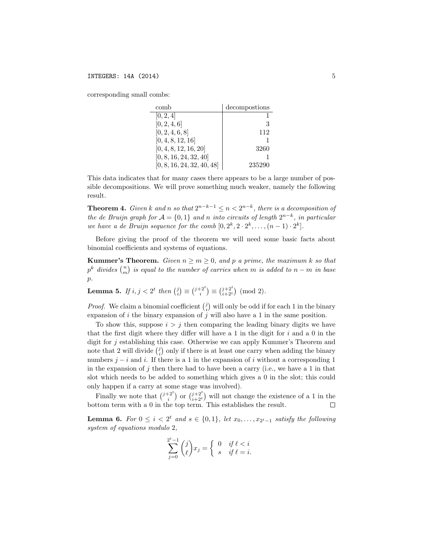corresponding small combs:

| comb                       | decompostions |
|----------------------------|---------------|
| [0, 2, 4]                  |               |
| [0, 2, 4, 6]               | 3             |
| [0, 2, 4, 6, 8]            | 112           |
| [0, 4, 8, 12, 16]          |               |
| [0, 4, 8, 12, 16, 20]      | 3260          |
| [0, 8, 16, 24, 32, 40]     |               |
| [0, 8, 16, 24, 32, 40, 48] | 235290        |

This data indicates that for many cases there appears to be a large number of possible decompositions. We will prove something much weaker, namely the following result.

**Theorem 4.** *Given k and n so that*  $2^{n-k-1} \leq n < 2^{n-k}$ *, there is a decomposition of the de Bruijn graph for*  $A = \{0, 1\}$  *and n into circuits of length*  $2^{n-k}$ *, in particular* we have a de Bruijn sequence for the comb  $[0, 2^k, 2 \cdot 2^k, \ldots, (n-1) \cdot 2^k]$ .

Before giving the proof of the theorem we will need some basic facts about binomial coefficients and systems of equations.

**Kummer's Theorem.** Given  $n \geq m \geq 0$ , and p a prime, the maximum k so that  $p^k$  divides  $\binom{n}{m}$  is equal to the number of carries when m is added to  $n-m$  in base *p.*

**Lemma 5.** *If*  $i, j < 2^t$  *then*  $\binom{j}{i} \equiv \binom{j+2^t}{i} \equiv \binom{j+2^t}{i+2^t} \pmod{2}$ *.* 

*Proof.* We claim a binomial coefficient  $\binom{j}{i}$  will only be odd if for each 1 in the binary expansion of *i* the binary expansion of *j* will also have a 1 in the same position.

To show this, suppose  $i > j$  then comparing the leading binary digits we have that the first digit where they differ will have a  $1$  in the digit for  $i$  and a  $0$  in the digit for *j* establishing this case. Otherwise we can apply Kummer's Theorem and note that 2 will divide  $\binom{j}{i}$  only if there is at least one carry when adding the binary numbers  $j - i$  and i. If there is a 1 in the expansion of i without a corresponding 1 in the expansion of *j* then there had to have been a carry (i.e., we have a 1 in that slot which needs to be added to something which gives a 0 in the slot; this could only happen if a carry at some stage was involved).

Finally we note that  $\binom{j+2^t}{i}$  or  $\binom{j+2^t}{i+2^t}$  will not change the existence of a 1 in the bottom term with a 0 in the top term. This establishes the result.

**Lemma 6.** For  $0 \leq i < 2^t$  and  $s \in \{0,1\}$ , let  $x_0, \ldots, x_{2^t-1}$  satisfy the following *system of equations modulo* 2*,*

$$
\sum_{j=0}^{2^t-1} \binom{j}{\ell} x_j = \begin{cases} 0 & \text{if } \ell < i \\ s & \text{if } \ell = i. \end{cases}
$$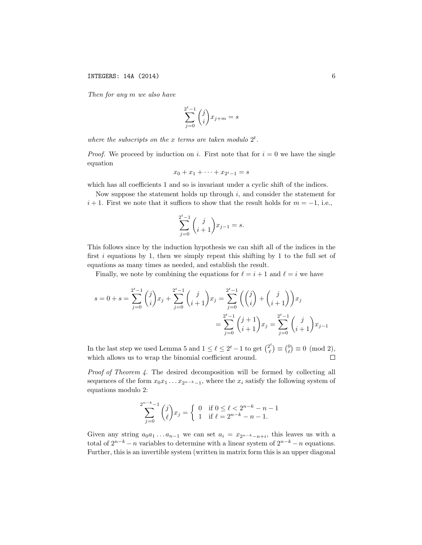*Then for any m we also have*

$$
\sum_{j=0}^{2^t-1} \binom{j}{i} x_{j+m} = s
$$

*where the subscripts on the x terms are taken modulo*  $2<sup>t</sup>$ *.* 

*Proof.* We proceed by induction on *i*. First note that for  $i = 0$  we have the single equation

$$
x_0 + x_1 + \dots + x_{2^t - 1} = s
$$

which has all coefficients 1 and so is invariant under a cyclic shift of the indices.

Now suppose the statement holds up through *i*, and consider the statement for  $i+1$ . First we note that it suffices to show that the result holds for  $m = -1$ , i.e.,

$$
\sum_{j=0}^{2^{t}-1} {j \choose i+1} x_{j-1} = s.
$$

This follows since by the induction hypothesis we can shift all of the indices in the first *i* equations by 1, then we simply repeat this shifting by 1 to the full set of equations as many times as needed, and establish the result.

Finally, we note by combining the equations for  $\ell = i + 1$  and  $\ell = i$  we have

$$
s = 0 + s = \sum_{j=0}^{2^{t}-1} {j \choose i} x_j + \sum_{j=0}^{2^{t}-1} {j \choose i+1} x_j = \sum_{j=0}^{2^{t}-1} {j \choose i} + {j \choose i+1} x_j
$$
  
= 
$$
\sum_{j=0}^{2^{t}-1} {j+1 \choose i+1} x_j = \sum_{j=0}^{2^{t}-1} {j \choose i+1} x_j - \sum_{j=0}^{2^{t}-1} {j \choose i+1} x_j - 1
$$

In the last step we used Lemma 5 and  $1 \leq \ell \leq 2^t - 1$  to get  $\binom{2^t}{\ell} \equiv \binom{0}{\ell} \equiv 0 \pmod{2}$ , which allows us to wrap the binomial coefficient around.

*Proof of Theorem 4.* The desired decomposition will be formed by collecting all sequences of the form  $x_0x_1 \ldots x_{2^{n-k}-1}$ , where the  $x_i$  satisfy the following system of equations modulo 2:

$$
\sum_{j=0}^{2^{n-k}-1} {j \choose \ell} x_j = \begin{cases} 0 & \text{if } 0 \le \ell < 2^{n-k} - n - 1 \\ 1 & \text{if } \ell = 2^{n-k} - n - 1. \end{cases}
$$

Given any string  $a_0a_1 \ldots a_{n-1}$  we can set  $a_i = x_{2^{n-k}-n+i}$ , this leaves us with a total of  $2^{n-k} - n$  variables to determine with a linear system of  $2^{n-k} - n$  equations. Further, this is an invertible system (written in matrix form this is an upper diagonal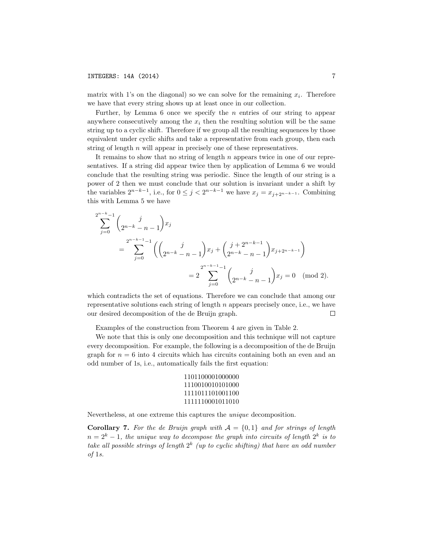matrix with 1's on the diagonal) so we can solve for the remaining  $x_i$ . Therefore we have that every string shows up at least once in our collection.

Further, by Lemma 6 once we specify the *n* entries of our string to appear anywhere consecutively among the  $x_i$  then the resulting solution will be the same string up to a cyclic shift. Therefore if we group all the resulting sequences by those equivalent under cyclic shifts and take a representative from each group, then each string of length *n* will appear in precisely one of these representatives.

It remains to show that no string of length *n* appears twice in one of our representatives. If a string did appear twice then by application of Lemma 6 we would conclude that the resulting string was periodic. Since the length of our string is a power of 2 then we must conclude that our solution is invariant under a shift by the variables  $2^{n-k-1}$ , i.e., for  $0 \leq j < 2^{n-k-1}$  we have  $x_j = x_{j+2^{n-k-1}}$ . Combining this with Lemma 5 we have

$$
\sum_{j=0}^{2^{n-k}-1} \binom{j}{2^{n-k}-n-1} x_j
$$
  
= 
$$
\sum_{j=0}^{2^{n-k-1}-1} \left( \binom{j}{2^{n-k}-n-1} x_j + \binom{j+2^{n-k-1}}{2^{n-k}-n-1} x_{j+2^{n-k-1}} \right)
$$
  
= 
$$
2 \sum_{j=0}^{2^{n-k-1}-1} \binom{j}{2^{n-k}-n-1} x_j = 0 \pmod{2}.
$$

which contradicts the set of equations. Therefore we can conclude that among our representative solutions each string of length *n* appears precisely once, i.e., we have our desired decomposition of the de Bruijn graph. П

Examples of the construction from Theorem 4 are given in Table 2.

We note that this is only one decomposition and this technique will not capture every decomposition. For example, the following is a decomposition of the de Bruijn graph for  $n = 6$  into 4 circuits which has circuits containing both an even and an odd number of 1s, i.e., automatically fails the first equation:

```
1101100001000000
1110010010101000
1111011101001100
1111110001011010
```
Nevertheless, at one extreme this captures the *unique* decomposition.

**Corollary 7.** For the de Bruijn graph with  $A = \{0, 1\}$  and for strings of length  $n = 2<sup>k</sup> - 1$ , the *unique way* to *decompose* the *graph into circuits* of *length*  $2<sup>k</sup>$  *is to take all possible strings of length* 2*<sup>k</sup> (up to cyclic shifting) that have an odd number of* 1*s.*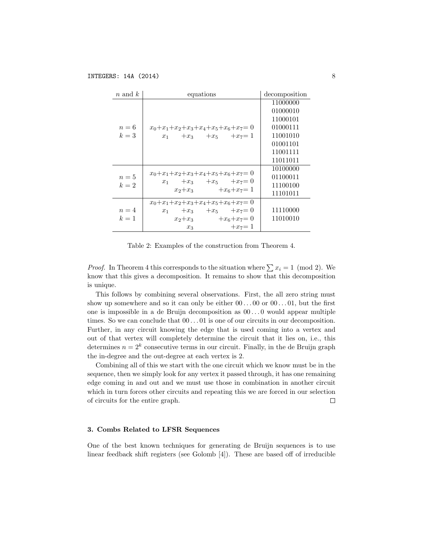| $n$ and $k$    | equations                                                                                                                       | decomposition                                                                                |
|----------------|---------------------------------------------------------------------------------------------------------------------------------|----------------------------------------------------------------------------------------------|
| $n=6$<br>$k=3$ | $x_0 + x_1 + x_2 + x_3 + x_4 + x_5 + x_6 + x_7 = 0$<br>$x_1 + x_3 + x_5 + x_7 = 1$                                              | 11000000<br>01000010<br>11000101<br>01000111<br>11001010<br>01001101<br>11001111<br>11011011 |
| $n=5$<br>$k=2$ | $x_0 + x_1 + x_2 + x_3 + x_4 + x_5 + x_6 + x_7 = 0$<br>$x_1 + x_3 + x_5 + x_7 = 0$<br>$x_2+x_3 +x_6+x_7=1$                      | 10100000<br>01100011<br>11100100<br>11101011                                                 |
| $n=4$<br>$k=1$ | $x_0 + x_1 + x_2 + x_3 + x_4 + x_5 + x_6 + x_7 = 0$<br>$x_1 + x_3 + x_5 + x_7 = 0$<br>$x_2+x_3 +x_6+x_7=0$<br>$+x_7=1$<br>$x_3$ | 11110000<br>11010010                                                                         |

Table 2: Examples of the construction from Theorem 4.

*Proof.* In Theorem 4 this corresponds to the situation where  $\sum x_i = 1 \pmod{2}$ . We know that this gives a decomposition. It remains to show that this decomposition is unique.

This follows by combining several observations. First, the all zero string must show up somewhere and so it can only be either  $00...00$  or  $00...01$ , but the first one is impossible in a de Bruijn decomposition as 00 *. . .* 0 would appear multiple times. So we can conclude that 00 *. . .* 01 is one of our circuits in our decomposition. Further, in any circuit knowing the edge that is used coming into a vertex and out of that vertex will completely determine the circuit that it lies on, i.e., this determines  $n = 2^k$  consecutive terms in our circuit. Finally, in the de Bruijn graph the in-degree and the out-degree at each vertex is 2.

Combining all of this we start with the one circuit which we know must be in the sequence, then we simply look for any vertex it passed through, it has one remaining edge coming in and out and we must use those in combination in another circuit which in turn forces other circuits and repeating this we are forced in our selection of circuits for the entire graph. □

## 3. Combs Related to LFSR Sequences

One of the best known techniques for generating de Bruijn sequences is to use linear feedback shift registers (see Golomb  $[4]$ ). These are based off of irreducible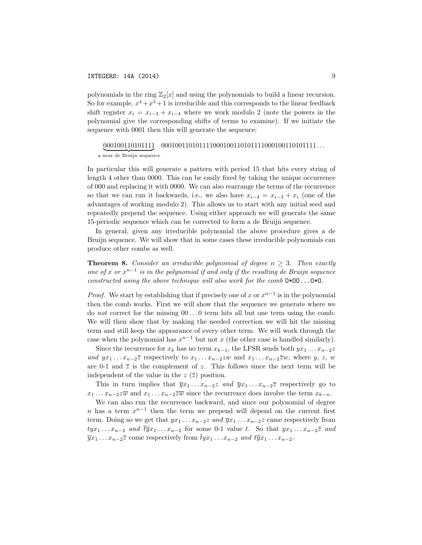polynomials in the ring  $\mathbb{Z}_2[x]$  and using the polynomials to build a linear recursion. So for example,  $x^4 + x^3 + 1$  is irreducible and this corresponds to the linear feedback shift register  $x_i = x_{i-3} + x_{i-4}$  where we work modulo 2 (note the powers in the polynomial give the corresponding shifts of terms to examine). If we initiate the sequence with 0001 then this will generate the sequence:

#### 000100110101111 000100110101111000100110101111000100110101111*. . .*

a near de Bruijn sequence

In particular this will generate a pattern with period 15 that hits every string of length 4 other than 0000. This can be easily fixed by taking the unique occurrence of 000 and replacing it with 0000. We can also rearrange the terms of the recurrence so that we can run it backwards, i.e., we also have  $x_{i-4} = x_{i-3} + x_i$  (one of the advantages of working modulo 2). This allows us to start with any initial seed and repeatedly prepend the sequence. Using either approach we will generate the same 15-periodic sequence which can be corrected to form a de Bruijn sequence.

In general, given any irreducible polynomial the above procedure gives a de Bruijn sequence. We will show that in some cases these irreducible polynomials can produce other combs as well.

Theorem 8. *Consider an irreducible polynomial of degree n* 3*. Then exactly one of*  $x$  *or*  $x^{n-1}$  *is in the polynomial if and only if the resulting de Bruijn sequence constructed using the above technique will also work for the comb* O\*OO...O\*O*.*

*Proof.* We start by establishing that if precisely one of *x* or  $x^{n-1}$  is in the polynomial then the comb works. First we will show that the sequence we generate where we do *not* correct for the missing 00 *. . .* 0 term hits all but one term using the comb. We will then show that by making the needed correction we will hit the missing term and still keep the appearance of every other term. We will work through the case when the polynomial has  $x^{n-1}$  but not *x* (the other case is handled similarly).

Since the recurrence for  $x_k$  has no term  $x_{k-1}$ , the LFSR sends both  $yx_1 \ldots x_{n-2}z$ and  $yx_1 \ldots x_{n-2} \overline{z}$  respectively to  $x_1 \ldots x_{n-2}zw$  and  $x_1 \ldots x_{n-2} \overline{z}w$ , where y, z, w are 0-1 and  $\overline{z}$  is the complement of *z*. This follows since the next term will be independent of the value in the  $z(\overline{z})$  position.

This in turn implies that  $\overline{y}x_1 \ldots x_{n-2}z$  *and*  $\overline{y}x_1 \ldots x_{n-2}\overline{z}$  respectively go to  $x_1 \ldots x_{n-2} \overline{zw}$  and  $x_1 \ldots x_{n-2} \overline{zw}$  since the recurrence does involve the term  $x_{k-n}$ .

We can also run the recurrence backward, and since our polynomial of degree *n* has a term  $x^{n-1}$  then the term we prepend will depend on the current first term. Doing so we get that  $yx_1 \ldots x_{n-2}z$  and  $\overline{y}x_1 \ldots x_{n-2}z$  came respectively from  $tyx_1 \ldots x_{n-2}$  and  $\overline{ty}x_1 \ldots x_{n-2}$  for some 0-1 value t. So that  $yx_1 \ldots x_{n-2} \overline{z}$  and  $\overline{y}x_1 \ldots x_{n-2}\overline{z}$  come respectively from  $\overline{t}yx_1 \ldots x_{n-2}$  and  $t\overline{y}x_1 \ldots x_{n-2}$ .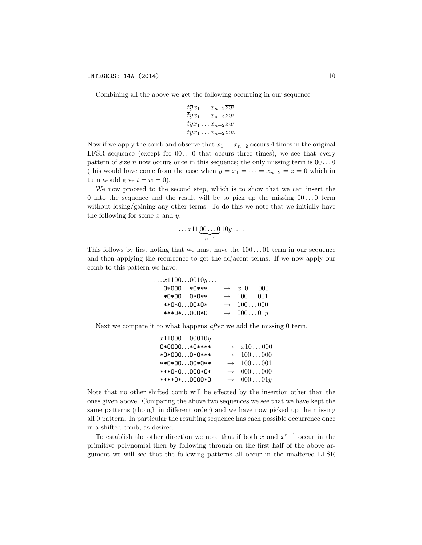Combining all the above we get the following occurring in our sequence

$$
\frac{t\overline{y}x_1 \dots x_{n-2}\overline{z}\overline{w}}{t\overline{y}x_1 \dots x_{n-2}\overline{z}w}
$$

$$
\frac{t\overline{y}x_1 \dots x_{n-2}\overline{z}\overline{w}}{t\overline{y}x_1 \dots x_{n-2}\overline{z}w}.
$$

Now if we apply the comb and observe that  $x_1 \nvert x_2 \nvert x_3$  occurs 4 times in the original LFSR sequence (except for  $00...0$  that occurs three times), we see that every pattern of size n now occurs once in this sequence; the only missing term is  $00...0$ (this would have come from the case when  $y = x_1 = \cdots = x_{n-2} = z = 0$  which in turn would give  $t = w = 0$ ).

We now proceed to the second step, which is to show that we can insert the 0 into the sequence and the result will be to pick up the missing  $00...0$  term without  $\frac{\text{log}}{\text{log}}$  any other terms. To do this we note that we initially have the following for some  $x$  and  $y$ :

$$
\ldots x11\underbrace{00\ldots0}_{n-1}10y\ldots
$$

This follows by first noting that we must have the  $100...01$  term in our sequence and then applying the recurrence to get the adjacent terms. If we now apply our comb to this pattern we have:

| $\ldots x1100\ldots0010y\ldots$ |                      |
|---------------------------------|----------------------|
| $0*000*0***$                    | $\rightarrow x10000$ |
| *0*000*0**                      | $\rightarrow 100001$ |
| **0*000*0*                      | $\rightarrow 100000$ |
| ***0*000*0                      | $\rightarrow 00001y$ |

Next we compare it to what happens *after* we add the missing 0 term.

| $\dots x11000\dots00010y\dots$ |                   |                  |
|--------------------------------|-------------------|------------------|
| 0*0000*0****                   | $\rightarrow$     | x10000           |
| *0*0000*0****                  | $\longrightarrow$ | 100000           |
| **0*0000*0**                   | $\longrightarrow$ | 100001           |
| ***0*0000*0*                   | $\longrightarrow$ | 000000           |
| ****0*0000*0                   | $\longrightarrow$ | $000 \ldots 01y$ |

Note that no other shifted comb will be effected by the insertion other than the ones given above. Comparing the above two sequences we see that we have kept the same patterns (though in different order) and we have now picked up the missing all 0 pattern. In particular the resulting sequence has each possible occurrence once in a shifted comb, as desired.

To establish the other direction we note that if both x and  $x^{n-1}$  occur in the primitive polynomial then by following through on the first half of the above argument we will see that the following patterns all occur in the unaltered LFSR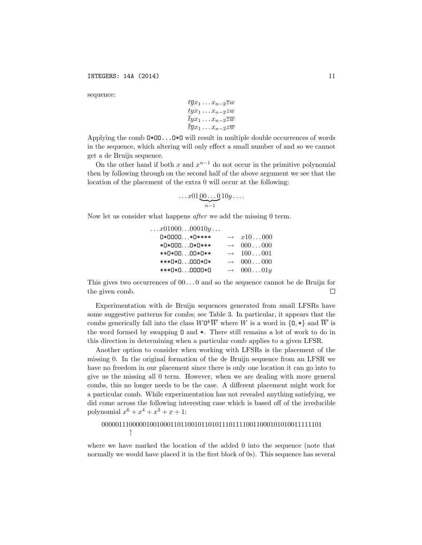sequence:

$$
t\overline{y}x_1 \dots x_{n-2}\overline{z}w
$$
  
\n
$$
t y x_1 \dots x_{n-2} z w
$$
  
\n
$$
\overline{t} y x_1 \dots x_{n-2} \overline{z} \overline{w}
$$
  
\n
$$
\overline{t} \overline{y} x_1 \dots x_{n-2} z \overline{w}
$$

Applying the comb O\*OO...O\*O will result in multiple double occurrences of words in the sequence, which altering will only effect a small number of and so we cannot get a de Bruijn sequence.

On the other hand if both x and  $x^{n-1}$  do not occur in the primitive polynomial then by following through on the second half of the above argument we see that the location of the placement of the extra 0 will occur at the following:

$$
\ldots x01\underbrace{00\ldots 0}_{n-1}10y\ldots
$$

Now let us consider what happens *after* we add the missing 0 term.

| $\dots x01000\dots00010y\dots$ |                   |                 |
|--------------------------------|-------------------|-----------------|
| 0*0000*0****                   | $\rightarrow$     | x10000          |
| *0*0000*0***                   | $\rightarrow$     | 000000          |
| **0*0000*0**                   | $\rightarrow$     | $100 \dots 001$ |
| ***0*0000*0*                   | $\longrightarrow$ | 000000          |
| ***0*00000*0                   | $\longrightarrow$ | $000 \dots 01y$ |
|                                |                   |                 |

This gives two occurrences of 00 *. . .* 0 and so the sequence cannot be de Bruijn for the given comb.  $\Box$ 

Experimentation with de Bruijn sequences generated from small LFSRs have some suggestive patterns for combs; see Table 3. In particular, it appears that the combs generically fall into the class  $W0^k\overline{W}$  where *W* is a word in  $\{0, *\}$  and  $\overline{W}$  is the word formed by swapping O and \*. There still remains a lot of work to do in this direction in determining when a particular comb applies to a given LFSR.

Another option to consider when working with LFSRs is the placement of the missing 0. In the original formation of the de Bruijn sequence from an LFSR we have no freedom in our placement since there is only one location it can go into to give us the missing all 0 term. However, when we are dealing with more general combs, this no longer needs to be the case. A different placement might work for a particular comb. While experimentation has not revealed anything satisfying, we did come across the following interesting case which is based off of the irreducible polynomial  $x^6 + x^4 + x^3 + x + 1$ :

# 0000011100000100100011011001011010111011110011000101010011111101  $\uparrow$

where we have marked the location of the added 0 into the sequence (note that normally we would have placed it in the first block of 0s). This sequence has several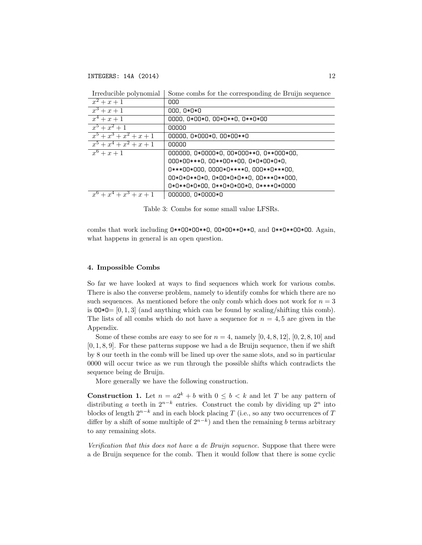| Trieducible porvironnai   | some comps for the corresponding de Druin sequence |
|---------------------------|----------------------------------------------------|
| $x^2 + x + 1$             | 000                                                |
| $x^3 + x + 1$             | 000, 0*0*0                                         |
| $x^4 + x + 1$             | 0000, 0*00*0, 00*0**0, 0**0*00                     |
| $x^5 + x^2 + 1$           | 00000                                              |
| $x^5 + x^3 + x^2 + x + 1$ | 00000, 0*000*0, 00*00**0                           |
| $x^5 + x^4 + x^2 + x + 1$ | 00000                                              |
| $x^6 + x + 1$             | 000000, 0*0000*0, 00*000**0, 0**000*00,            |
|                           | 000*00***0, 00**00**00, 0*0*00*0*0,                |
|                           | 0***00*000, 0000*0****0, 000**0***00,              |
|                           | 00*0*0**0*0, 0*00*0*0**0, 00***0**000,             |
|                           | 0*0**0*0*00, 0**0*0*00*0, 0****0*0000              |
| $x^6 + x^4 + x^3 + x + 1$ | 000000, 0*0000*0                                   |

Irreducible polynomial | Some combs for the corresponding de Bruijn sequence

Table 3: Combs for some small value LFSRs.

combs that work including O\*\*OO\*OO\*\*O, OO\*OO\*\*O\*\*O, and O\*\*O\*\*OO\*OO. Again, what happens in general is an open question.

## 4. Impossible Combs

So far we have looked at ways to find sequences which work for various combs. There is also the converse problem, namely to identify combs for which there are no such sequences. As mentioned before the only comb which does not work for  $n = 3$ is  $00*0=[0,1,3]$  (and anything which can be found by scaling/shifting this comb). The lists of all combs which do not have a sequence for  $n = 4, 5$  are given in the Appendix.

Some of these combs are easy to see for  $n = 4$ , namely  $[0, 4, 8, 12]$ ,  $[0, 2, 8, 10]$  and [0*,* 1*,* 8*,* 9]. For these patterns suppose we had a de Bruijn sequence, then if we shift by 8 our teeth in the comb will be lined up over the same slots, and so in particular 0000 will occur twice as we run through the possible shifts which contradicts the sequence being de Bruijn.

More generally we have the following construction.

**Construction 1.** Let  $n = a2^k + b$  with  $0 \leq b \leq k$  and let *T* be any pattern of distributing *a* teeth in  $2^{n-k}$  entries. Construct the comb by dividing up  $2^n$  into blocks of length  $2^{n-k}$  and in each block placing *T* (i.e., so any two occurrences of *T* differ by a shift of some multiple of  $2^{n-k}$ ) and then the remaining *b* terms arbitrary to any remaining slots.

*Verification that this does not have a de Bruijn sequence.* Suppose that there were a de Bruijn sequence for the comb. Then it would follow that there is some cyclic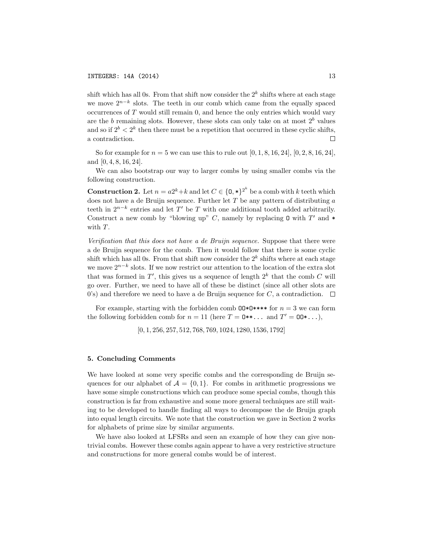shift which has all 0s. From that shift now consider the  $2^k$  shifts where at each stage we move  $2^{n-k}$  slots. The teeth in our comb which came from the equally spaced occurrences of *T* would still remain 0, and hence the only entries which would vary are the *b* remaining slots. However, these slots can only take on at most  $2<sup>b</sup>$  values and so if  $2^b < 2^k$  then there must be a repetition that occurred in these cyclic shifts, a contradiction. П

So for example for  $n = 5$  we can use this to rule out  $[0, 1, 8, 16, 24]$ ,  $[0, 2, 8, 16, 24]$ , and [0*,* 4*,* 8*,* 16*,* 24].

We can also bootstrap our way to larger combs by using smaller combs via the following construction.

**Construction 2.** Let  $n = a2^k + k$  and let  $C \in \{0, * \}^2$  be a comb with  $k$  teeth which does not have a de Bruijn sequence. Further let *T* be any pattern of distributing *a* teeth in  $2^{n-k}$  entries and let  $T'$  be  $T$  with one additional tooth added arbitrarily. Construct a new comb by "blowing up"  $C$ , namely by replacing 0 with  $T'$  and  $*$ with *T*.

*Verification that this does not have a de Bruijn sequence.* Suppose that there were a de Bruijn sequence for the comb. Then it would follow that there is some cyclic shift which has all 0s. From that shift now consider the  $2^k$  shifts where at each stage we move  $2^{n-k}$  slots. If we now restrict our attention to the location of the extra slot that was formed in  $T'$ , this gives us a sequence of length  $2^k$  that the comb  $C$  will go over. Further, we need to have all of these be distinct (since all other slots are 0's) and therefore we need to have a de Bruijn sequence for *C*, a contradiction.  $\Box$ 

For example, starting with the forbidden comb  $00*0****$  for  $n=3$  we can form the following forbidden comb for  $n = 11$  (here  $T = 0**...$  and  $T' = 00*...$ ),

[0*,* 1*,* 256*,* 257*,* 512*,* 768*,* 769*,* 1024*,* 1280*,* 1536*,* 1792]

### 5. Concluding Comments

We have looked at some very specific combs and the corresponding de Bruijn sequences for our alphabet of  $A = \{0, 1\}$ . For combs in arithmetic progressions we have some simple constructions which can produce some special combs, though this construction is far from exhaustive and some more general techniques are still waiting to be developed to handle finding all ways to decompose the de Bruijn graph into equal length circuits. We note that the construction we gave in Section 2 works for alphabets of prime size by similar arguments.

We have also looked at LFSRs and seen an example of how they can give nontrivial combs. However these combs again appear to have a very restrictive structure and constructions for more general combs would be of interest.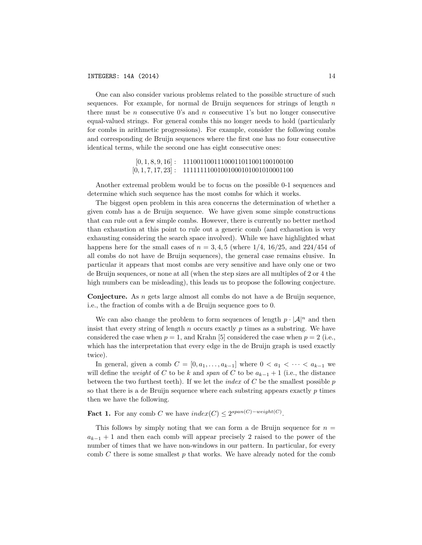One can also consider various problems related to the possible structure of such sequences. For example, for normal de Bruijn sequences for strings of length *n* there must be *n* consecutive 0's and *n* consecutive 1's but no longer consecutive equal-valued strings. For general combs this no longer needs to hold (particularly for combs in arithmetic progressions). For example, consider the following combs and corresponding de Bruijn sequences where the first one has no four consecutive identical terms, while the second one has eight consecutive ones:

> [0, 1, 8, 9, 16] : 11100110011100011011001100100100 [0*,* 1*,* 7*,* 17*,* 23] : 11111111001001000101001010001100

Another extremal problem would be to focus on the possible 0-1 sequences and determine which such sequence has the most combs for which it works.

The biggest open problem in this area concerns the determination of whether a given comb has a de Bruijn sequence. We have given some simple constructions that can rule out a few simple combs. However, there is currently no better method than exhaustion at this point to rule out a generic comb (and exhaustion is very exhausting considering the search space involved). While we have highlighted what happens here for the small cases of  $n = 3, 4, 5$  (where  $1/4$ ,  $16/25$ , and  $224/454$  of all combs do not have de Bruijn sequences), the general case remains elusive. In particular it appears that most combs are very sensitive and have only one or two de Bruijn sequences, or none at all (when the step sizes are all multiples of 2 or 4 the high numbers can be misleading), this leads us to propose the following conjecture.

Conjecture. As *n* gets large almost all combs do not have a de Bruijn sequence, i.e., the fraction of combs with a de Bruijn sequence goes to 0.

We can also change the problem to form sequences of length  $p \cdot |A|^n$  and then insist that every string of length *n* occurs exactly *p* times as a substring. We have considered the case when  $p = 1$ , and Krahn [5] considered the case when  $p = 2$  (i.e., which has the interpretation that every edge in the de Bruijn graph is used exactly twice).

In general, given a comb  $C = [0, a_1, \ldots, a_{k-1}]$  where  $0 < a_1 < \cdots < a_{k-1}$  we will define the *weight* of *C* to be *k* and *span* of *C* to be  $a_{k-1} + 1$  (i.e., the distance between the two furthest teeth). If we let the *index* of *C* be the smallest possible *p* so that there is a de Bruijn sequence where each substring appears exactly *p* times then we have the following.

**Fact 1.** For any comb *C* we have  $index(C) \leq 2^{span(C)-weight(C)}$ .

This follows by simply noting that we can form a de Bruijn sequence for  $n =$  $a_{k-1}$  + 1 and then each comb will appear precisely 2 raised to the power of the number of times that we have non-windows in our pattern. In particular, for every comb *C* there is some smallest *p* that works. We have already noted for the comb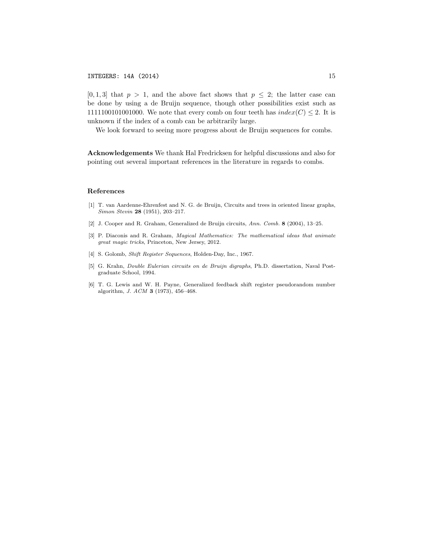$[0,1,3]$  that  $p > 1$ , and the above fact shows that  $p \leq 2$ ; the latter case can be done by using a de Bruijn sequence, though other possibilities exist such as 1111100101001000. We note that every comb on four teeth has  $index(C) \leq 2$ . It is unknown if the index of a comb can be arbitrarily large.

We look forward to seeing more progress about de Bruijn sequences for combs.

Acknowledgements We thank Hal Fredricksen for helpful discussions and also for pointing out several important references in the literature in regards to combs.

#### References

- [1] T. van Aardenne-Ehrenfest and N. G. de Bruijn, Circuits and trees in oriented linear graphs, *Simon Stevin* 28 (1951), 203–217.
- [2] J. Cooper and R. Graham, Generalized de Bruijn circuits, *Ann. Comb.* 8 (2004), 13–25.
- [3] P. Diaconis and R. Graham, *Magical Mathematics: The mathematical ideas that animate great magic tricks*, Princeton, New Jersey, 2012.
- [4] S. Golomb, *Shift Register Sequences*, Holden-Day, Inc., 1967.
- [5] G. Krahn, *Double Eulerian circuits on de Bruijn digraphs*, Ph.D. dissertation, Naval Postgraduate School, 1994.
- [6] T. G. Lewis and W. H. Payne, Generalized feedback shift register pseudorandom number algorithm, *J. ACM* 3 (1973), 456–468.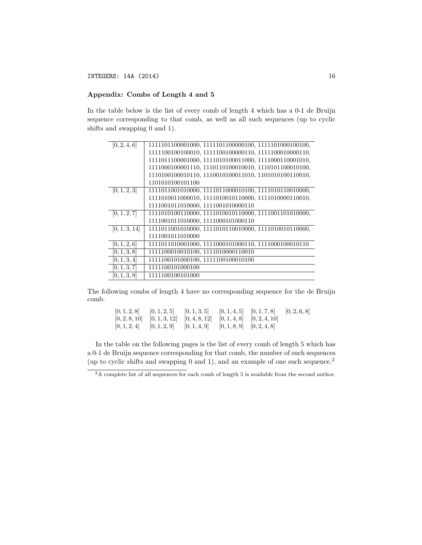# Appendix: Combs of Length 4 and 5

In the table below is the list of every comb of length 4 which has a 0-1 de Bruijn sequence corresponding to that comb, as well as all such sequences (up to cyclic shifts and swapping 0 and 1).

| 1111011100001000, 1111010100011000, 1111000110001010, |
|-------------------------------------------------------|
| 1111000100001110, 1110110100010010, 1110101100010100, |
|                                                       |
| 1101010100101100                                      |
| 1111011001010000, 1111011000010100, 1111010110010000, |
| 1111010011000010, 1111010010110000, 1111010000110010, |
| 1111001011010000, 1111001010000110                    |
| 1111010100110000, 1111010010110000, 1111001101010000, |
| 1111001011010000, 1111000101000110                    |
| 1111011001010000, 1111010110010000, 1111010010110000, |
| 1111001011010000                                      |
|                                                       |
| 1111100010010100, 1111010000110010                    |
| 1111100101000100, 1111100100010100                    |
| 1111100101000100                                      |
| 1111100100101000                                      |
|                                                       |

The following combs of length 4 have no corresponding sequence for the de Bruijn comb.

> [0*,* 1*,* 2*,* 8] [0*,* 1*,* 2*,* 5] [0*,* 1*,* 3*,* 5] [0*,* 1*,* 4*,* 5] [0*,* 1*,* 7*,* 8] [0*,* 2*,* 6*,* 8] [0*,* 2*,* 8*,* 10] [0*,* 1*,* 3*,* 12] [0*,* 4*,* 8*,* 12] [0*,* 1*,* 4*,* 8] [0*,* 2*,* 4*,* 10] [0*,* 1*,* 2*,* 4] [0*,* 1*,* 2*,* 9] [0*,* 1*,* 4*,* 9] [0*,* 1*,* 8*,* 9] [0*,* 2*,* 4*,* 8]

In the table on the following pages is the list of every comb of length 5 which has a 0-1 de Bruijn sequence corresponding for that comb, the number of such sequences (up to cyclic shifts and swapping 0 and 1), and an example of one such sequence.<sup>2</sup>

<sup>&</sup>lt;sup>2</sup>A complete list of all sequences for each comb of length 5 is available from the second author.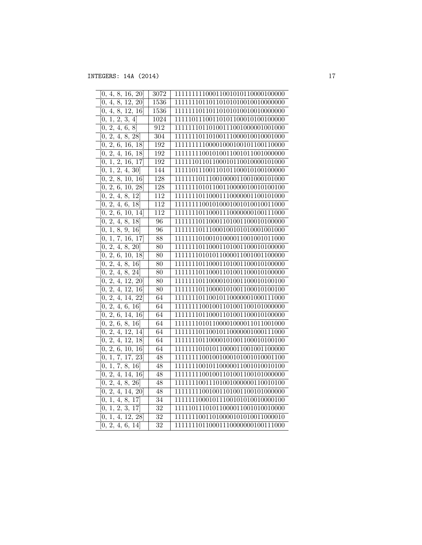| [0, 4, 8, 16, 20]                                 | 3072             | 11111111100011001010110000100000  |
|---------------------------------------------------|------------------|-----------------------------------|
| [0, 4, 8, 12, 20]                                 | 1536             | 111111110110110101010010010000000 |
| [0, 4, 8, 12, 16]                                 | 1536             | 111111110110110101010010010000000 |
| [2, 3, 4]<br>1,<br>0,                             | 1024             | 11111011100110101100010100100000  |
| $\overline{2},$<br>4,<br>6, 8<br>0,               | 912              | 111111110110100111001000001001000 |
| $\overline{0, 2, 4, 8}$ , 28                      | $\overline{304}$ | 111111110110100111000010010001000 |
| 2,<br>6, 16, 18<br>0,                             | 192              | 111111111100001000100101100110000 |
| 2, 4, 16, 18]<br>[0,                              | 192              | 11111111001010011001011001000000  |
| 1, 2, 16, 17<br>0,                                | 192              | 11111101101100010110010000101000  |
| $1, \overline{2, 4, 30}$<br>[0,                   | 144              | 11111011100110101100010100100000  |
| 2,<br>8, 10, 16<br>0,                             | 128              | 111111110111001000011001000101000 |
| $\overline{2, 6, 10, 28}$<br>0,                   | 128              | 111111110101100110000010010100100 |
| $\overline{[0, 2, 4, 8, 12]}$                     | 112              | 111111110110001110000001100101000 |
| 2,<br>4, 6, 18<br>0,                              | 112              | 11111111001010001001010010011000  |
| $\overline{2}$ , 6, 10, 14]<br>0,                 | 112              | 111111110110001110000000100111000 |
| 2,<br>4, 8, 18<br>0,                              | 96               | 111111110110001101001100010100000 |
| [0, 1, 8, 9, 16]                                  | $\overline{96}$  | 111111110111000100101010001001000 |
| $[0, 1, 7, 16, \overline{17}]$                    | 88               | 111111110100101000011001001011000 |
| [0, 2, 4, 8, 20]                                  | $\overline{80}$  | 111111110110001101001100010100000 |
| 2,<br>6, 10, 18<br>$\overline{0}$ ,               | 80               | 11111110101011000011001001100000  |
| [0, 2, 4, 8, 16]                                  | $\overline{80}$  | 111111110110001101001100010100000 |
| 2,<br>4, 8, 24<br>0,                              | $\overline{80}$  | 111111110110001101001100010100000 |
| $\overline{2, 4, 12, 20}$<br>0,                   | $\overline{80}$  | 111111110110000101001100010100100 |
| $\overline{4, 12, 16}$<br>[0, 2,                  | $\overline{80}$  | 11111110110000101001100010100100  |
| 2,<br>4, 14, 22<br>[0,                            | 64               | 111111110110010110000001000111000 |
| 2,<br>$\overline{4}$ , 6, 16<br>0,                | 64               | 11111111001001101001100101000000  |
| 2,<br>6,<br>14, 16<br>0,                          | 64               | 111111110110001101001100010100000 |
| 2,<br>6, 8, 16<br>0,                              | 64               | 111111110101100001000011011001000 |
| 2,<br>4, 12, 14<br>0,                             | 64               | 111111110110010110000001000111000 |
| 2,<br>$\overline{4, 12, 18}$<br>0,                | 64               | 11111110110000101001100010100100  |
| $\left[2, 6, 10, 16\right]$<br>0,                 | 64               | 111111110101011000011001001100000 |
| 1, 7, 17, 23<br>[0,                               | 48               | 11111111001001000101001010001100  |
| 7, 8, 16<br>1,<br>0,                              | 48               | 11111110010110000011001010010100  |
| 2, 4, 14, 16<br>$\theta$ ,                        | 48               | 11111111001001101001100101000000  |
| $\overline{0, 2, 4, 8}$ , 26                      | 48               | 11111110011101001000000110010100  |
| $\overline{2},$<br>14, 20<br>$\overline{0}$<br>4, | 48               | 11111111001001101001100101000000  |
| 4,<br>8, 17<br>0,<br>1,                           | 34               | 11111110001011100101010010000100  |
| $\overline{3,17}$<br>2,<br>0,<br>1,               | $\overline{32}$  | 11111011101011000011001010010000  |
| $4, \overline{12, 28}$<br>[0,<br>1,               | $\overline{32}$  | 11111110011010000101010011000010  |
| [0, 2, 4, 6, 14]                                  | 32               | 111111110110001110000000100111000 |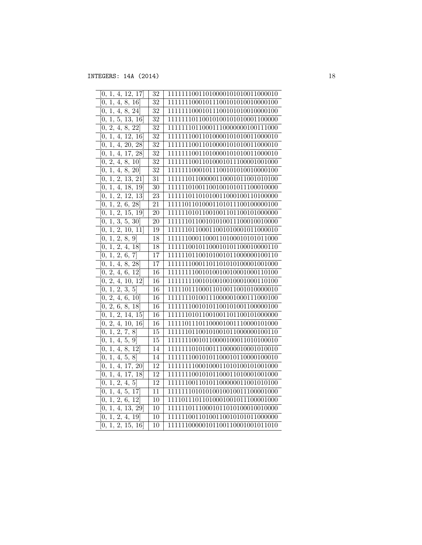| 1, 4, 12, 17<br>0,                                    | $\overline{32}$ | 11111110011010000101010011000010  |
|-------------------------------------------------------|-----------------|-----------------------------------|
| $\overline{4}$ , 8, 16<br>1,<br>0.                    | 32              | 11111110001011100101010010000100  |
| 4, 8, 24<br>1,<br>0,                                  | 32              | 11111110001011100101010010000100  |
| 1, 5, 13, 16<br>[0,                                   | $\overline{32}$ | 111111110110010100101010001100000 |
| $\overline{2, 4, 8, 22}$<br>[0,                       | $\overline{32}$ | 111111110110001110000000100111000 |
| $\overline{1},$<br>4, 12, 16<br>0,                    | 32              | 11111110011010000101010011000010  |
| 4, 20, 28<br>1,<br>0,                                 | $\overline{32}$ | 11111110011010000101010011000010  |
| 1, 4, 17, 28<br>0.                                    | $\overline{32}$ | 11111110011010000101010011000010  |
| 2, 4, 8, 10<br>0,                                     | 32              | 11111110011010001011100001001000  |
| 1, 4, 8, 20]<br>0,                                    | 32              | 11111110001011100101010010000100  |
| 1, 2, 13, 21<br>[0,                                   | 31              | 11111101100000110001011001010100  |
| 1,<br>4, 18, 19<br>[0,                                | $\overline{30}$ | 111111101001100100101011100010000 |
| $\overline{2, 12, 13}$<br>$\overline{1}$ ,<br>0,      | 23              | 11111101101010011000100110100000  |
| 2, 6, 28<br>$\overline{1,}$<br>0,                     | 21              | 11111011010001101011100100000100  |
| 1, 2, 15, 19<br>0,                                    | $\overline{20}$ | 11111101011001001101100101000000  |
| $\overline{1, 3, 5, 30}$<br>[0,                       | $\overline{20}$ | 11111101100101010011100010010000  |
| 1, 2, 10, 11<br>0,                                    | 19              | 111111101100011001010001011000010 |
| 1, 2, 8, 9<br>[0,                                     | 18              | 11111100011000110100010101011000  |
| $\overline{2}$ , 4,<br>1,<br>18<br>0,                 | 18              | 11111100101100010101100010000110  |
| $\overline{2},$<br>$\overline{7}]$<br>1,<br>6,<br>0,  | $\overline{17}$ | 11111101100101001011000000100110  |
| $\overline{4}$ ,<br>8,<br>$\overline{28}$<br>1,<br>0, | $\overline{17}$ | 11111110001101101010100001001000  |
| $\overline{2, 4, 4}$<br>6, 12<br>0.                   | 16              | 111111111001010010010001000110100 |
| 2,<br>10, 12<br>4,<br>0,                              | 16              | 111111111001010010010001000110100 |
| 2,<br>$\overline{3}$ ,<br>$\overline{5}$<br>[0,<br>1, | $\overline{16}$ | 11111011100011010011001010000010  |
| $\overline{2, 4, 6, 10}$<br>0,                        | $\overline{16}$ | 111111110100111000001000111000100 |
| 2, 6, 8, 18<br>0,                                     | $\overline{16}$ | 11111110010101100101001100000100  |
| 1, 2, 14, 15<br>0,                                    | 16              | 11111101011001001101100101000000  |
| $\overline{2},$<br>$\overline{4, 10, 16}$<br>0,       | 16              | 11111011101100001001110000101000  |
| 1, 2, 7, 8<br>0,                                      | $\overline{15}$ | 11111101100101001011000000100110  |
| 4, 5, 9<br>0,<br>1,                                   | 15              | 111111110010110000100011010100010 |
| $\overline{1,}$<br>4, 8, 12<br>0,                     | 14              | 111111110101001110000010001010010 |
| 1, 4, 5, 8<br>0,                                      | 14              | 11111110010101100010110000100010  |
| 1, 4, 17, 20<br>0,                                    | 12              | 11111111000100011010100101001000  |
| 1, 4, 17, 18<br>0,                                    | 12              | 11111110010101100011010001001000  |
| $\overline{2,4},5$<br>1,<br>0,                        | 12              | 11111100110101100000011001010100  |
| 1, 4, 5, 17<br>0,                                     | $\overline{11}$ | 11111110101010010010011100001000  |
| $\overline{1, 2, 6, 12}$<br>0,                        | 10              | 11110111011010001001011100001000  |
| $\overline{4, 13, 29}$<br>1,<br>[0,                   | $\overline{10}$ | 11111101110001011010100010010000  |
| 2, 4, 19<br>1,<br>[0,                                 | 10              | 11111100110100110010101011000000  |
| [0, 1, 2, 15, 16]                                     | $\overline{10}$ | 11111100000101100110001001011010  |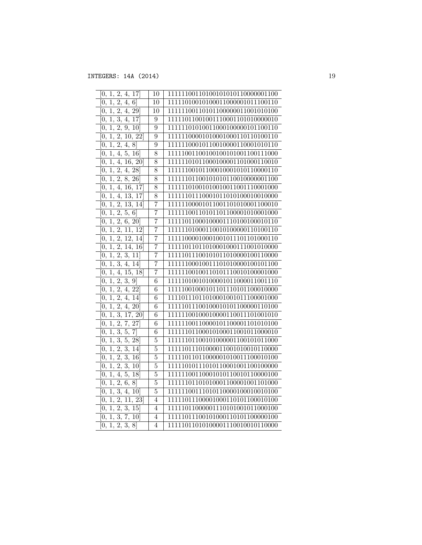| 2, 4, 17<br>0,<br>1,                                                    | 10              | 11111100110100101010110000001100  |
|-------------------------------------------------------------------------|-----------------|-----------------------------------|
| 2, 4,<br>6 <sup>1</sup><br>1,<br>0,                                     | 10              | 11111010010100011000001011100110  |
| $1, \overline{2, 4, 29}$<br>[0,                                         | $\overline{10}$ | 11111100110101100000011001010100  |
| 1, 3, 4, 17<br>[0,                                                      | $\overline{9}$  | 11111011001001110001101010000010  |
| $\overline{1, 2, 9, 10}$<br>0,                                          | 9               | 11111101010011000100000101100110  |
| $\overline{1, 2, 10, 22}$<br>Ю,                                         | 9               | 11111100001010001000110110100110  |
| $\overline{2},$<br>1,<br>4, 8<br>0,                                     | $\overline{9}$  | 11111100010110010000110001010110  |
| $\overline{1, 4, 5, 16}$<br>0,                                          | $\overline{8}$  | 11111001100100100101001100111000  |
| 1, 4, 16, 20<br>0,                                                      | $\overline{8}$  | 11111101011000100001101000110010  |
| $\overline{2, 4, 28}$<br>1,<br>0.                                       | $\overline{8}$  | 11111100101100010001010110000110  |
| 2, 8, 26<br>1,<br>0,                                                    | $\overline{8}$  | 11111101100101010110010000001100  |
| 4, 16, 17<br>1,<br>0,                                                   | 8               | 11111101001010010011001110001000  |
| 4, 13, 17<br>1,<br>[0,                                                  | $\overline{8}$  | 11111101110001011010100010010000  |
| $\overline{2, 13, 14}$<br>$\overline{1,}$<br>0,                         | 7               | 11111100001011001101010001100010  |
| 1, 2, 5, 6<br>0,                                                        | 7               | 11111100110101101100001010001000  |
| 1, 2,<br>6, 20<br>0,                                                    | 7               | 11111011000100001110100100010110  |
| $\bar{2},$<br>1,<br>$\overline{11},$<br>12<br>$\overline{0}$            | 7               | 11111101000110010100000110100110  |
| $\overline{2, 12, 14}$<br>1,<br>[0,                                     | 7               | 11111000010001001011101101000110  |
| 1, 2, 14, 16<br>[0,                                                     | 7               | 11111011011010001000111001010000  |
| $\overline{2, 3, 11}$<br>1,<br>0,                                       | $\overline{7}$  | 11111011100101011010000100110000  |
| $\overline{3, 4}, 14]$<br>$\overline{1}$ ,<br>0,                        | $\overline{7}$  | 11111100010011101010000100101100  |
| 1, 4, 15, 18<br>0,                                                      | 7               | 11111100100110101110010100001000  |
| 1, 2, 3, 9<br>0,                                                        | $\overline{6}$  | 11111010010100001011000011001110  |
| 1, 2, 4, 22<br>0,                                                       | $\overline{6}$  | 11111001000101101110101100010000  |
| $1,\overline{2,4,14}$<br>[0,                                            | $\overline{6}$  | 11110111011010001001011100001000  |
| $1, \overline{2, 4, 20}$<br>[0,                                         | $\overline{6}$  | 11111011100100010101100000110100  |
| $\overline{1, 3, 17, 20}$<br>0,                                         | $\overline{6}$  | 11111100100010000110011101001010  |
| 2,<br>7,<br>$\overline{27}$<br>1,<br>[0,                                | $\overline{6}$  | 11111100110000101100001101010100  |
| 3,<br>5,<br>7<br>$\overline{1}$ ,<br>0,                                 | $\overline{6}$  | 11111101100010100011001011000010  |
| 1, 3, 5, 28<br>0,                                                       | 5               | 111111101100101000001100101011000 |
| 1, 2,<br>3, 14<br>0,                                                    | 5               | 11111011101000011001010010110000  |
| 1, 2,<br>3, 16<br>$\bar{0},$                                            | 5               | 11111011011000001010011100010100  |
| 1, 2, 3, 10<br>[0,                                                      | $\overline{5}$  | 11111010111010110001001100100000  |
| $\overline{5}$ ,<br>18<br>1,<br>4,<br>0,                                | $\overline{5}$  | 11111100110001010110010110000100  |
| $\overline{2},$<br>$\overline{1}$<br>$\overline{6}$<br>$\sqrt{8}$<br>0, | $\overline{5}$  | 11111101101010001100001001101000  |
| 1, 3,<br>4,<br>$\overline{10}$<br>0,                                    | $\overline{5}$  | 11111100111010110000100010010100  |
| 1, 2, 11, 23<br>0.                                                      | $\overline{4}$  | 11111011100001000110101100010100  |
| 2, 3, 15<br>1,<br>[0,                                                   | 4               | 11111011000001110101001011000100  |
| 3,<br>7,<br>10 <sup>1</sup><br>1,<br>$\left\{ 0,\right.$                | $\overline{4}$  | 11111011100101000110101100000100  |
| [0, 1, 2, 3, 8]                                                         | $\overline{4}$  | 11111011010100001110010010110000  |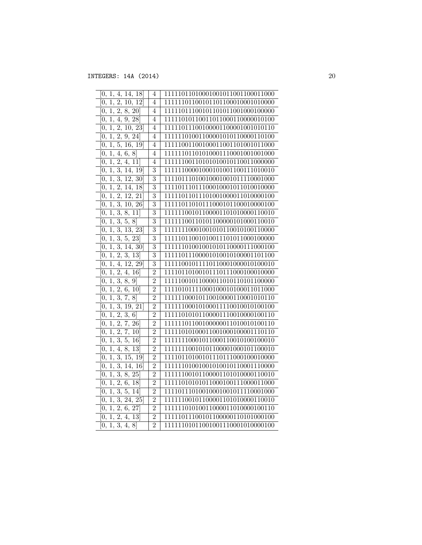| [0, 1, 4, 14, 18]                                                                 | 4              | 11111011010001001011001100011000 |
|-----------------------------------------------------------------------------------|----------------|----------------------------------|
| [0, 1, 2, 10, 12]                                                                 | $\overline{4}$ | 11111101100101101100010001010000 |
| $[0, \overline{1, 2, 8, 20}]$                                                     | $\overline{4}$ | 11111011100101101011001000100000 |
| [0, 1, 4, 9, 28]                                                                  | $\overline{4}$ | 11111010110011011000110000010100 |
| 1, 2, 10, 23<br>0,                                                                | $\overline{4}$ | 11111011100100001100001001010110 |
| $\overline{2},$<br>9, 24<br>1,<br>0,                                              | $\overline{4}$ | 11111101001100001010110000110100 |
| $\overline{1, 5, 16, 19}$<br>0,                                                   | $\overline{4}$ | 11111001100100011001101001011000 |
| 1, 4, 6, 8<br>0,                                                                  | 4              | 11111101101010001110001001001000 |
| 2, 4, 11<br>1,<br>0,                                                              | 4              | 11111100110101010010110011000000 |
| $\overline{3, 14, 19}$<br>1,<br>0,                                                | $\overline{3}$ | 11111100001000101001100111010010 |
| 1, 3, 12, 30<br>0.                                                                | $\overline{3}$ | 11110111010010001001011110001000 |
| $\overline{2}$ ,<br>$\overline{14}$ ,<br>$\overline{1,}$<br>$\overline{18}$<br>0, | 3              | 11110111011100010001011010010000 |
| 2, 12, 21<br>$\overline{1}$ ,<br>0,                                               | $\overline{3}$ | 11111011011101001000011010000100 |
| 1, 3, 10, 26<br>[0,                                                               | $\overline{3}$ | 11111011010111000101100010000100 |
| 1, 3,<br>8, 11<br>0,                                                              | $\overline{3}$ | 11111100101100001101010000110010 |
| 1, 3,<br>5, 8<br>[0,                                                              | $\overline{3}$ | 11111100110101100000101000110010 |
| 3,<br>13, 23<br>1,<br>$\overline{0}$                                              | $\overline{3}$ | 11111110001001010110010100110000 |
| $\overline{1, 3, 5, 23}$<br>0,                                                    | $\overline{3}$ | 11111011001010011101011000100000 |
| 1, 3,<br>14, 30<br>0,                                                             | $\overline{3}$ | 11111101001001010110000111000100 |
| 2, 3, 13<br>1,<br>[0,                                                             | $\overline{3}$ | 11111011100001010010100001101100 |
| $\overline{4}$ ,<br>1,<br>12, 29<br>0,                                            | $\overline{3}$ | 11111001011110110001000010100010 |
| $\overline{1, 2, 4, 16}$<br>0,                                                    | $\overline{2}$ | 11110110100101110111000100010000 |
| $\overline{1, 3, 3}$<br>8, 9]<br>0,                                               | $\overline{2}$ | 11111001011000011010110101100000 |
| $\overline{2, 6}$ ,<br>10 <sup>1</sup><br>1,<br>0,                                | $\overline{2}$ | 11110101111000100010100011011000 |
| $\overline{3}$ ,<br>$\overline{8}]$<br>7,<br>1,<br>0,                             | $\overline{2}$ | 11111100010110010000110001010110 |
| $\overline{1, 3, 19, 21}$<br>0,                                                   | $\overline{2}$ | 11111100010100011110010010100100 |
| [2, 3, 6]<br>1,<br>0,                                                             | $\overline{2}$ | 11111010101100001110010000100110 |
| $\overline{2},$<br>7, 26<br>$\overline{1}$ ,<br>0,                                | $\overline{2}$ | 11111101100100000011010010100110 |
| $\overline{2},$<br>$\overline{7, 10}$<br>$\overline{1},$<br>[0,                   | $\overline{2}$ | 11111010100011001000100001110110 |
| 1, 3,<br>5, 16<br>[0,                                                             | $\overline{2}$ | 11111110001011000110010100100010 |
| 8, 13<br>4,<br>[0,<br>1,                                                          | $\overline{2}$ | 11111110010101100001000101100010 |
| 3,<br>$\overline{15}$ ,<br>1,<br>19<br>0,                                         | $\overline{2}$ | 11110110100101110111000100010000 |
| 1, 3, 14, 16<br>[0,                                                               | $\overline{2}$ | 11111101001001010010110001110000 |
| 1, 3, 8, 25<br>0,                                                                 | $\overline{2}$ | 11111100101100001101010000110010 |
| 2, 6, 18<br>1,<br>[0,                                                             | $\overline{2}$ | 11111010101011000100111000011000 |
| 3,<br>1,<br>5,<br>0,<br>14                                                        | $\overline{2}$ | 11110111010010001001011110001000 |
| 1, 3, 24, 25<br>0,                                                                | $\overline{2}$ | 11111100101100001101010000110010 |
| $\overline{2,}$<br>6, 27<br>1,<br>0,                                              | $\overline{2}$ | 11111101010011000011010000100110 |
| $\overline{2, 4, 4}$<br>13<br>[0, 1,                                              | $\overline{2}$ | 11111011100101100000110101000100 |
| 3, 4,<br>$\overline{0, 1}$<br>$\sqrt{8}$                                          | $\overline{2}$ | 11111101011001001110001010000100 |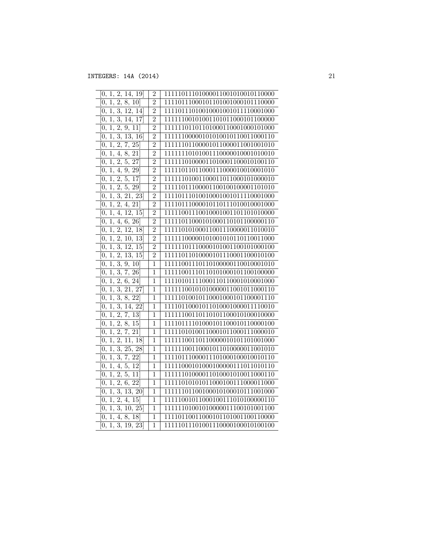| 1, 2, 14, 19<br>0,                                     | $\overline{2}$ | 11111011101000011001010010110000  |
|--------------------------------------------------------|----------------|-----------------------------------|
| $\overline{2,}$<br>$\overline{1},$<br>8, 10<br>0,      | $\overline{2}$ | 11110111000101101001000101110000  |
| 3, 12, 14<br>1,<br>0,                                  | $\overline{2}$ | 11110111010010001001011110001000  |
| 1, 3, 14, 17<br>0,                                     | $\overline{2}$ | 11111100101001101011000101100000  |
| 2, 9, 11<br>1,<br>0,                                   | $\overline{2}$ | 11111101101101000110001000101000  |
| 1, 3, 13, 16<br>0,                                     | $\overline{2}$ | 11111100000101010010110011000110  |
| 1, 2, 7, 25<br>0,                                      | $\overline{2}$ | 11111101100001011000011001001010  |
| 8, 21<br>1, 4,<br>0.                                   | $\overline{2}$ | 111111110101001110000010001010010 |
| 2, 5, 27<br>0,<br>1,                                   | $\overline{2}$ | 11111101000011010001100010100110  |
| 4, 9, 29<br>1,<br>0,                                   | $\overline{2}$ | 11111011011000111000010010001010  |
| 1, 2, 5, 17<br>0,                                      | $\overline{2}$ | 11111101001100011011000101000010  |
| 1, 2, 5, 29<br>0,                                      | $\overline{2}$ | 11111011100001100100100001101010  |
| 1, 3, 21, 23<br>[0,                                    | $\overline{2}$ | 11110111010010001001011110001000  |
| 2, 4, 21<br>$\overline{1}$ ,<br>[0,                    | $\overline{2}$ | 11110111000010110111010010001000  |
| 1,<br>4, 12, 15<br>0,                                  | $\overline{2}$ | 11111001110010001001101101010000  |
| 1, 4, 6, 26<br>0,                                      | $\overline{2}$ | 11111011000101000110101100000110  |
| $\overline{2},$<br>$\overline{12}$ ,<br>1,<br>18<br>0, | $\overline{2}$ | 11111010100011001110000011010010  |
| 1, 2, 10, 13<br>0,                                     | $\overline{2}$ | 11111100000101001010110110011000  |
| 1, 3, 12, 15<br>0,                                     | $\overline{2}$ | 11111101110000101001100101000100  |
| 2, 13, 15<br>1,<br>0,                                  | $\overline{2}$ | 11111011010000101110001100010100  |
| $\overline{3}$<br>$\overline{1}$ ,<br>9, 10<br>0,      | $\overline{1}$ | 11111001110110100000110010001010  |
| 1, 3, 7, 26<br>0,                                      | $\overline{1}$ | 11111001110110101000101100100000  |
| $\overline{1, 2, 2}$<br>6, 24<br>0.                    | $\mathbf{1}$   | 11110101111000110110001010001000  |
| 1, 3, 21, 27<br>[0,                                    | $\mathbf{1}$   | 11111100101010000011001011000110  |
| 3, 8, 22<br>1,<br>0,                                   | $\overline{1}$ | 11111010010110001000101100001110  |
| 1, 3, 14, 22<br>[0,                                    | $\overline{1}$ | 11110110001011010001000011110010  |
| $\overline{0, 1, 2, 7, 13}$                            | $\overline{1}$ | 11111100110110101100010100010000  |
| $\overline{2, 8, 15}$<br>1,<br>[0,                     | $\overline{1}$ | 11110111101000101100010110000100  |
| $\overline{2, 7, 21}$<br>0, 1,                         | $\overline{1}$ | 11111010100110001011000111000010  |
| $\overline{1, 2, 11, 18}$<br>$\overline{0}$ ,          | $\overline{1}$ | 11111100110110000010101101001000  |
| 1, 3, 25, 28<br>0,                                     | $\overline{1}$ | 11111100110001011010000011001010  |
| $\overline{1, 3, 7, 22}$<br>0,                         | $\overline{1}$ | 11110111000011101000100010010110  |
| $\overline{0, 1, 4, 5, 12}$                            | $\overline{1}$ | 11111000101000100000111011010110  |
| 1, 2, 5, 11<br>0,                                      | $\overline{1}$ | 11111101000011010001010011000110  |
| 2, 6, 22<br>1,<br>0,                                   | $\mathbf 1$    | 11111010101011000100111000011000  |
| 3,<br>1,<br>13, 20<br>0,                               | $\overline{1}$ | 11111101100100010100010111001000  |
| $\overline{1, 2, 4, 15}$<br>0,                         | $\overline{1}$ | 11111001011000100111010100000110  |
| 1, 3, 10, 25<br>0,                                     | $\mathbf 1$    | 11111101001010000011100101001100  |
| $\overline{4}$ , 8, 18]<br>[0, 1,                      | $\overline{1}$ | 11110110011000101101001100110000  |
| 3, 19, 23<br>$\overline{0, 1}$                         | $\overline{1}$ | 11111011101001110000100010100100  |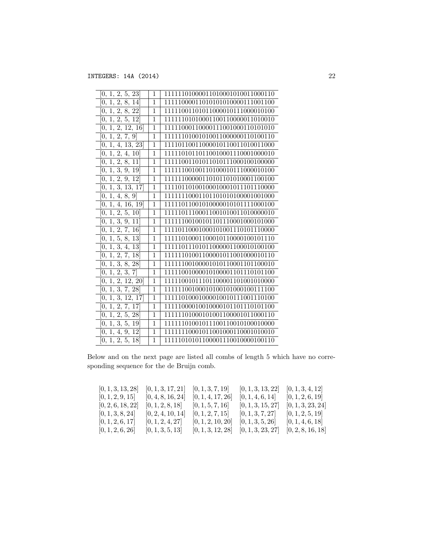| 1, 2, 5, 23<br>[0,              | 1              | 11111101000011010001010011000110 |
|---------------------------------|----------------|----------------------------------|
| 1, 2, 8, 14<br>0,               | 1              | 11111000011010101010000111001100 |
| $\overline{1, 2, 8, 22}$<br>0,  | $\mathbf{1}$   | 11111001101011000010111000010100 |
| 1, 2, 5, 12<br>0,               | 1              | 11111101010001100110000011010010 |
| 1, 2, 12, 16<br>0,              | $\mathbf{1}$   | 11111000110000111001000110101010 |
| 1, 2, 7, 9<br>0,                | $\mathbf{1}$   | 11111101001010011000000110100110 |
| 4, 13, 23<br>$1, \,$<br>0.      | 1              | 11110110011000010110011010011000 |
| 1, 2, 4, 10<br>0,               | $\mathbf{1}$   | 11111010110110010001110001000010 |
| 1, 2, 8, 11<br>0,               | 1              | 11111001101011010111000100100000 |
| 1, 3, 9, 19<br>$\overline{0}$   | $\mathbf{1}$   | 11111100100110100010111000010100 |
| 1, 2, 9, 12<br>0.               | 1              | 11111100000110101101010001100100 |
| 1, 3, 13, 17<br>0,              | 1              | 11110110100100010001011101110000 |
| 1, 4, 8, 9<br>0,                | 1              | 11111110001101101010100001001000 |
| [0, 1, 4, 16, 19]               | 1              | 11111011001010000010101111000100 |
| 1, 2, 5, 10<br>0.               | 1              | 11111011100011001010011010000010 |
| 1, 3, 9, 11<br>0,               | $\overline{1}$ | 11111100100101101110001000101000 |
| 1, 2, 7, 16<br>0,               | 1              | 11110110001000101001110101110000 |
| 1, 5, 8, 13<br>$\overline{0}$ , | $\mathbf{1}$   | 11111010001100010110000100101110 |
| 1, 3, 4, 13<br>0,               | 1              | 11111011101011000001100010100100 |
| 1, 2, 7, 18<br>0,               | 1              | 11111101001100001011001000010110 |
| 1, 3, 8, 28<br>[0,              | 1              | 11111100100001010110001101100010 |
| 1, 2, 3,<br>0,<br>7             | $\mathbf{1}$   | 11111001000010100001101110101100 |
| 1, 2, 12, 20<br>0,              | 1              | 11111001011101100001101001010000 |
| $\overline{1, 3, 7, 28}$<br>0,  | 1              | 11111100100010100101000100111100 |
| 1, 3, 12, 17<br>[0,             | 1              | 11111010001000010010111001110100 |
| $\overline{1, 2, 7, 17}$<br>0,  | 1              | 11111000010010000101101110101100 |
| 1, 2, 5, 28<br>0.               | 1              | 11111101000101001100001011000110 |
| $\overline{1, 3, 5, 19}$<br>0.  | 1              | 11101001011100110010100010000    |
| 1, 4, 9, 12<br>0,               | 1              | 11111110001011001000110001010010 |
| [0, 1, 2, 5, 18]                | 1              | 11111010101100001110010000100110 |
|                                 |                |                                  |

Below and on the next page are listed all combs of length 5 which have no corresponding sequence for the  $\operatorname{de}$  Bruijn comb.

| [0, 1, 3, 13, 28] | $[0, 1, 3, 17, 21]$ $[0, 1, 3, 7, 19]$ |                                         | [0, 1, 3, 13, 22] | [0, 1, 3, 4, 12]  |
|-------------------|----------------------------------------|-----------------------------------------|-------------------|-------------------|
| [0, 1, 2, 9, 15]  | [0, 4, 8, 16, 24]                      | [0, 1, 4, 17, 26]                       | [0, 1, 4, 6, 14]  | [0, 1, 2, 6, 19]  |
| [0, 2, 6, 18, 22] | [0, 1, 2, 8, 18]                       | [0, 1, 5, 7, 16]                        | [0, 1, 3, 15, 27] | [0, 1, 3, 23, 24] |
| [0, 1, 3, 8, 24]  | [0, 2, 4, 10, 14]                      | [0, 1, 2, 7, 15]                        | [0, 1, 3, 7, 27]  | [0, 1, 2, 5, 19]  |
| [0, 1, 2, 6, 17]  | [0, 1, 2, 4, 27]                       | [0, 1, 2, 10, 20]                       | [0, 1, 3, 5, 26]  | [0, 1, 4, 6, 18]  |
| [0, 1, 2, 6, 26]  | [0, 1, 3, 5, 13]                       | $[0, 1, 3, 12, 28]$ $[0, 1, 3, 23, 27]$ |                   | [0, 2, 8, 16, 18] |